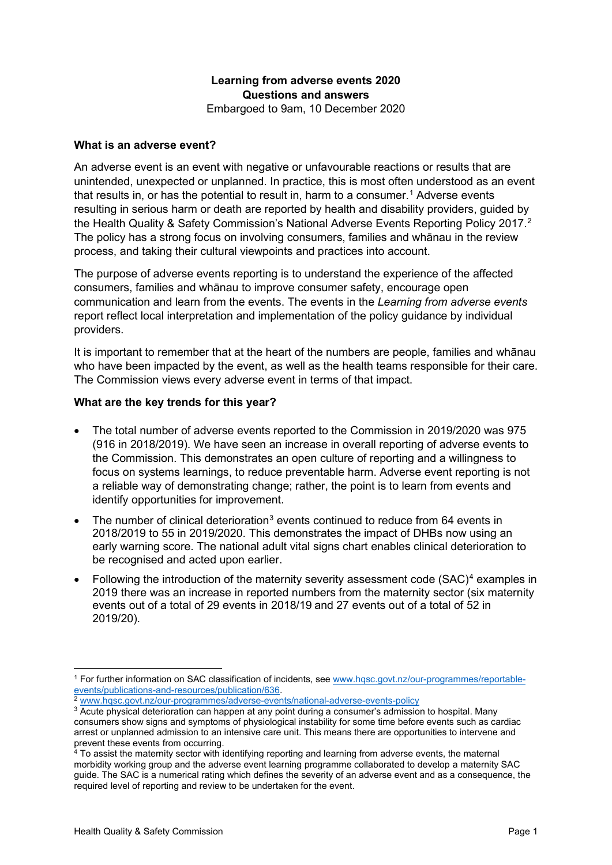# **Learning from adverse events 2020 Questions and answers**

Embargoed to 9am, 10 December 2020

### **What is an adverse event?**

An adverse event is an event with negative or unfavourable reactions or results that are unintended, unexpected or unplanned. In practice, this is most often understood as an event that results in, or has the potential to result in, harm to a consumer.<sup>[1](#page-0-0)</sup> Adverse events resulting in serious harm or death are reported by health and disability providers, guided by the Health Quality & Safety Commission's National Adverse Events Reporting Policy 2017. [2](#page-0-1) The policy has a strong focus on involving consumers, families and whānau in the review process, and taking their cultural viewpoints and practices into account.

The purpose of adverse events reporting is to understand the experience of the affected consumers, families and whānau to improve consumer safety, encourage open communication and learn from the events. The events in the *Learning from adverse events* report reflect local interpretation and implementation of the policy guidance by individual providers.

It is important to remember that at the heart of the numbers are people, families and whānau who have been impacted by the event, as well as the health teams responsible for their care. The Commission views every adverse event in terms of that impact.

### **What are the key trends for this year?**

- The total number of adverse events reported to the Commission in 2019/2020 was 975 (916 in 2018/2019). We have seen an increase in overall reporting of adverse events to the Commission. This demonstrates an open culture of reporting and a willingness to focus on systems learnings, to reduce preventable harm. Adverse event reporting is not a reliable way of demonstrating change; rather, the point is to learn from events and identify opportunities for improvement.
- The number of clinical deterioration<sup>[3](#page-0-2)</sup> events continued to reduce from 64 events in 2018/2019 to 55 in 2019/2020. This demonstrates the impact of DHBs now using an early warning score. The national adult vital signs chart enables clinical deterioration to be recognised and acted upon earlier.
- Following the introduction of the maternity severity assessment code  $(SAC)^4$  $(SAC)^4$  examples in 2019 there was an increase in reported numbers from the maternity sector (six maternity events out of a total of 29 events in 2018/19 and 27 events out of a total of 52 in 2019/20).

<span id="page-0-0"></span><sup>1</sup> For further information on SAC classification of incidents, see [www.hqsc.govt.nz/our-programmes/reportable](http://www.hqsc.govt.nz/our-programmes/reportable-events/publications-and-resources/publication/636/)[events/publications-and-resources/publication/636.](http://www.hqsc.govt.nz/our-programmes/reportable-events/publications-and-resources/publication/636/)

<sup>2</sup> [www.hqsc.govt.nz/our-programmes/adverse-events/national-adverse-events-policy](http://www.hqsc.govt.nz/our-programmes/adverse-events/national-adverse-events-policy)

<span id="page-0-2"></span><span id="page-0-1"></span><sup>&</sup>lt;sup>3</sup> Acute physical deterioration can happen at any point during a consumer's admission to hospital. Many consumers show signs and symptoms of physiological instability for some time before events such as cardiac arrest or unplanned admission to an intensive care unit. This means there are opportunities to intervene and prevent these events from occurring.

<span id="page-0-3"></span><sup>4</sup> To assist the maternity sector with identifying reporting and learning from adverse events, the maternal morbidity working group and the adverse event learning programme collaborated to develop a maternity SAC guide. The SAC is a numerical rating which defines the severity of an adverse event and as a consequence, the required level of reporting and review to be undertaken for the event.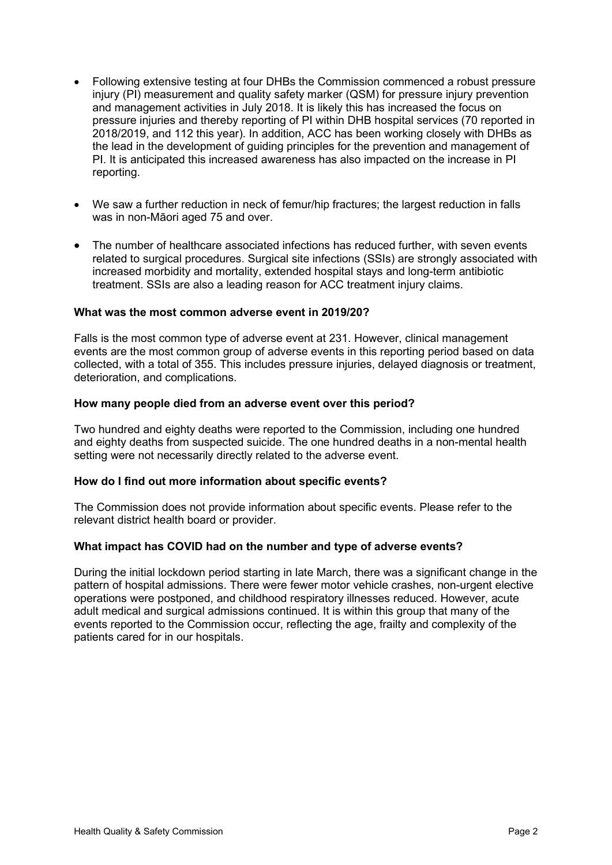- Following extensive testing at four DHBs the Commission commenced a robust pressure injury (PI) measurement and quality safety marker (QSM) for pressure injury prevention and management activities in July 2018. It is likely this has increased the focus on pressure injuries and thereby reporting of PI within DHB hospital services (70 reported in 2018/2019, and 112 this year). In addition, ACC has been working closely with DHBs as the lead in the development of guiding principles for the prevention and management of PI. It is anticipated this increased awareness has also impacted on the increase in PI reporting.
- We saw a further reduction in neck of femur/hip fractures; the largest reduction in falls was in non-Māori aged 75 and over.
- The number of healthcare associated infections has reduced further, with seven events related to surgical procedures. Surgical site infections (SSIs) are strongly associated with increased morbidity and mortality, extended hospital stays and long-term antibiotic treatment. SSIs are also a leading reason for ACC treatment injury claims.

### **What was the most common adverse event in 2019/20?**

Falls is the most common type of adverse event at 231. However, clinical management events are the most common group of adverse events in this reporting period based on data collected, with a total of 355. This includes pressure injuries, delayed diagnosis or treatment, deterioration, and complications.

#### **How many people died from an adverse event over this period?**

Two hundred and eighty deaths were reported to the Commission, including one hundred and eighty deaths from suspected suicide. The one hundred deaths in a non-mental health setting were not necessarily directly related to the adverse event.

#### **How do I find out more information about specific events?**

The Commission does not provide information about specific events. Please refer to the relevant district health board or provider.

### **What impact has COVID had on the number and type of adverse events?**

During the initial lockdown period starting in late March, there was a significant change in the pattern of hospital admissions. There were fewer motor vehicle crashes, non-urgent elective operations were postponed, and childhood respiratory illnesses reduced. However, acute adult medical and surgical admissions continued. It is within this group that many of the events reported to the Commission occur, reflecting the age, frailty and complexity of the patients cared for in our hospitals.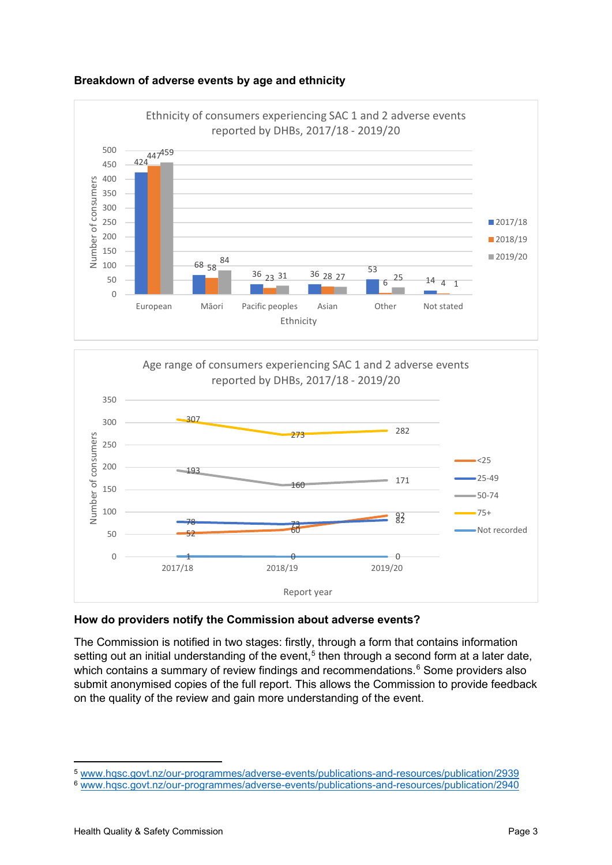





# **How do providers notify the Commission about adverse events?**

The Commission is notified in two stages: firstly, through a form that contains information setting out an initial understanding of the event,<sup>[5](#page-2-0)</sup> then through a second form at a later date, which contains a summary of review findings and recommendations.<sup>[6](#page-2-1)</sup> Some providers also submit anonymised copies of the full report. This allows the Commission to provide feedback on the quality of the review and gain more understanding of the event.

<span id="page-2-0"></span><sup>5</sup> [www.hqsc.govt.nz/our-programmes/adverse-events/publications-and-resources/publication/2939](http://www.hqsc.govt.nz/our-programmes/adverse-events/publications-and-resources/publication/2939)

<span id="page-2-1"></span><sup>6</sup> [www.hqsc.govt.nz/our-programmes/adverse-events/publications-and-resources/publication/2940](http://www.hqsc.govt.nz/our-programmes/adverse-events/publications-and-resources/publication/2940)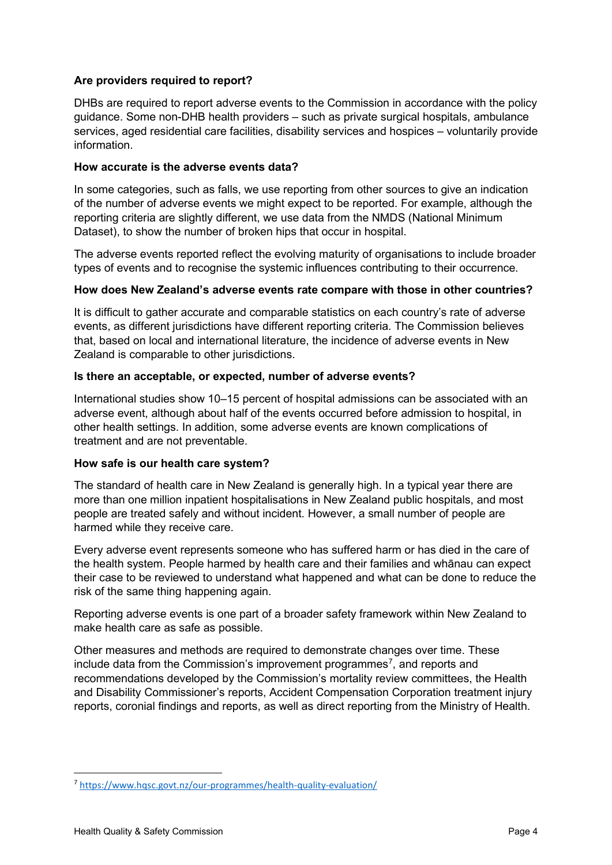# **Are providers required to report?**

DHBs are required to report adverse events to the Commission in accordance with the policy guidance. Some non-DHB health providers – such as private surgical hospitals, ambulance services, aged residential care facilities, disability services and hospices – voluntarily provide information.

# **How accurate is the adverse events data?**

In some categories, such as falls, we use reporting from other sources to give an indication of the number of adverse events we might expect to be reported. For example, although the reporting criteria are slightly different, we use data from the NMDS (National Minimum Dataset), to show the number of broken hips that occur in hospital.

The adverse events reported reflect the evolving maturity of organisations to include broader types of events and to recognise the systemic influences contributing to their occurrence.

# **How does New Zealand's adverse events rate compare with those in other countries?**

It is difficult to gather accurate and comparable statistics on each country's rate of adverse events, as different jurisdictions have different reporting criteria. The Commission believes that, based on local and international literature, the incidence of adverse events in New Zealand is comparable to other jurisdictions.

# **Is there an acceptable, or expected, number of adverse events?**

International studies show 10–15 percent of hospital admissions can be associated with an adverse event, although about half of the events occurred before admission to hospital, in other health settings. In addition, some adverse events are known complications of treatment and are not preventable.

# **How safe is our health care system?**

The standard of health care in New Zealand is generally high. In a typical year there are more than one million inpatient hospitalisations in New Zealand public hospitals, and most people are treated safely and without incident. However, a small number of people are harmed while they receive care.

Every adverse event represents someone who has suffered harm or has died in the care of the health system. People harmed by health care and their families and whānau can expect their case to be reviewed to understand what happened and what can be done to reduce the risk of the same thing happening again.

Reporting adverse events is one part of a broader safety framework within New Zealand to make health care as safe as possible.

Other measures and methods are required to demonstrate changes over time. These include data from the Commission's improvement programmes<sup>[7](#page-3-0)</sup>, and reports and recommendations developed by the Commission's mortality review committees, the Health and Disability Commissioner's reports, Accident Compensation Corporation treatment injury reports, coronial findings and reports, as well as direct reporting from the Ministry of Health.

<span id="page-3-0"></span><sup>7</sup> [https://www.hqsc.govt.nz/our](https://www.hqsc.govt.nz/our-programmes/health-quality-evaluation/)-programmes/health-quality-evaluation/